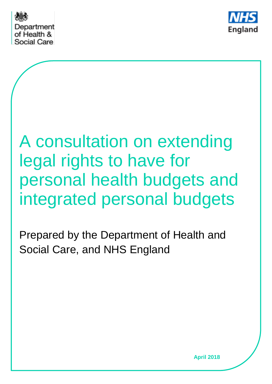



# A consultation on extending legal rights to have for personal health budgets and integrated personal budgets

Prepared by the Department of Health and Social Care, and NHS England

**April 2018**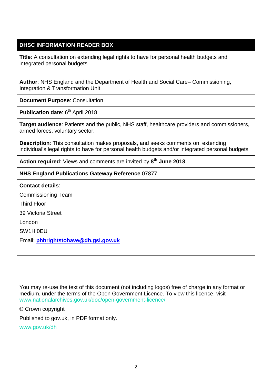#### **DHSC INFORMATION READER BOX**

**Title**: A consultation on extending legal rights to have for personal health budgets and integrated personal budgets

**Author**: NHS England and the Department of Health and Social Care– Commissioning, Integration & Transformation Unit.

**Document Purpose**: Consultation

**Publication date: 6<sup>th</sup> April 2018** 

**Target audience**: Patients and the public, NHS staff, healthcare providers and commissioners, armed forces, voluntary sector.

**Description**: This consultation makes proposals, and seeks comments on, extending individual's legal rights to have for personal health budgets and/or integrated personal budgets

**Action required**: Views and comments are invited by **8th June 2018**

#### **NHS England Publications Gateway Reference** 07877

#### **Contact details**:

Commissioning Team Third Floor

39 Victoria Street

London

SW1H 0EU

Email: **[phbrightstohave@dh.gsi.gov.uk](mailto:phbrightstohave@dh.gsi.gov.uk)**

You may re-use the text of this document (not including logos) free of charge in any format or medium, under the terms of the Open Government Licence. To view this licence, visit [www.nationalarchives.gov.uk/doc/open-government-licence/](http://www.nationalarchives.gov.uk/doc/open-government-licence/)

© Crown copyright

Published to gov.uk, in PDF format only.

[www.gov.uk/dh](http://www.gov.uk/dh)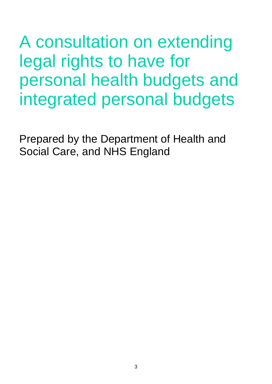A consultation on extending legal rights to have for personal health budgets and integrated personal budgets

Prepared by the Department of Health and Social Care, and NHS England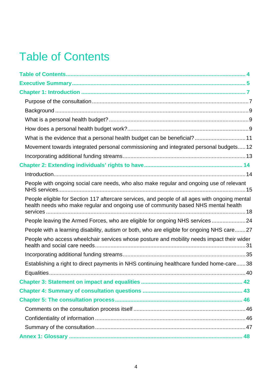## Table of Contents

| What is the evidence that a personal health budget can be beneficial? 11                                                                                                             |  |
|--------------------------------------------------------------------------------------------------------------------------------------------------------------------------------------|--|
| Movement towards integrated personal commissioning and integrated personal budgets 12                                                                                                |  |
|                                                                                                                                                                                      |  |
|                                                                                                                                                                                      |  |
|                                                                                                                                                                                      |  |
| People with ongoing social care needs, who also make regular and ongoing use of relevant                                                                                             |  |
| People eligible for Section 117 aftercare services, and people of all ages with ongoing mental<br>health needs who make regular and ongoing use of community based NHS mental health |  |
| People leaving the Armed Forces, who are eligible for ongoing NHS services 24                                                                                                        |  |
| People with a learning disability, autism or both, who are eligible for ongoing NHS care27                                                                                           |  |
| People who access wheelchair services whose posture and mobility needs impact their wider                                                                                            |  |
|                                                                                                                                                                                      |  |
| Establishing a right to direct payments in NHS continuing healthcare funded home-care38                                                                                              |  |
|                                                                                                                                                                                      |  |
|                                                                                                                                                                                      |  |
|                                                                                                                                                                                      |  |
|                                                                                                                                                                                      |  |
|                                                                                                                                                                                      |  |
|                                                                                                                                                                                      |  |
|                                                                                                                                                                                      |  |
|                                                                                                                                                                                      |  |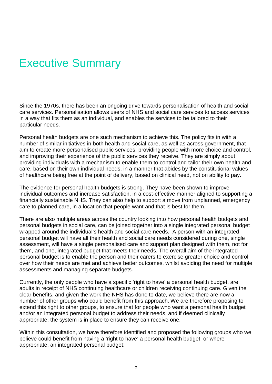## Executive Summary

Since the 1970s, there has been an ongoing drive towards personalisation of health and social care services. Personalisation allows users of NHS and social care services to access services in a way that fits them as an individual, and enables the services to be tailored to their particular needs.

Personal health budgets are one such mechanism to achieve this. The policy fits in with a number of similar initiatives in both health and social care, as well as across government, that aim to create more personalised public services, providing people with more choice and control, and improving their experience of the public services they receive. They are simply about providing individuals with a mechanism to enable them to control and tailor their own health and care, based on their own individual needs, in a manner that abides by the constitutional values of healthcare being free at the point of delivery, based on clinical need, not on ability to pay.

The evidence for personal health budgets is strong. They have been shown to improve individual outcomes and increase satisfaction, in a cost-effective manner aligned to supporting a financially sustainable NHS. They can also help to support a move from unplanned, emergency care to planned care, in a location that people want and that is best for them.

There are also multiple areas across the country looking into how personal health budgets and personal budgets in social care, can be joined together into a single integrated personal budget wrapped around the individual's health and social care needs. A person with an integrated personal budget will have all their health and social care needs considered during one, single assessment, will have a single personalised care and support plan designed with them, not for them, and one, integrated budget that meets their needs. The overall aim of the integrated personal budget is to enable the person and their carers to exercise greater choice and control over how their needs are met and achieve better outcomes, whilst avoiding the need for multiple assessments and managing separate budgets.

Currently, the only people who have a specific 'right to have' a personal health budget, are adults in receipt of NHS continuing healthcare or children receiving continuing care. Given the clear benefits, and given the work the NHS has done to date, we believe there are now a number of other groups who could benefit from this approach. We are therefore proposing to extend this right to other groups, to ensure that for people who want a personal health budget and/or an integrated personal budget to address their needs, and if deemed clinically appropriate, the system is in place to ensure they can receive one.

Within this consultation, we have therefore identified and proposed the following groups who we believe could benefit from having a 'right to have' a personal health budget, or where appropriate, an integrated personal budget: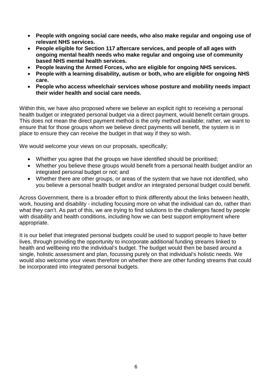- **People with ongoing social care needs, who also make regular and ongoing use of relevant NHS services.**
- **People eligible for Section 117 aftercare services, and people of all ages with ongoing mental health needs who make regular and ongoing use of community based NHS mental health services.**
- **People leaving the Armed Forces, who are eligible for ongoing NHS services.**
- **People with a learning disability, autism or both, who are eligible for ongoing NHS care.**
- **People who access wheelchair services whose posture and mobility needs impact their wider health and social care needs.**

Within this, we have also proposed where we believe an explicit right to receiving a personal health budget or integrated personal budget via a direct payment, would benefit certain groups. This does not mean the direct payment method is the only method available; rather, we want to ensure that for those groups whom we believe direct payments will benefit, the system is in place to ensure they can receive the budget in that way if they so wish.

We would welcome your views on our proposals, specifically;

- Whether you agree that the groups we have identified should be prioritised;
- Whether you believe these groups would benefit from a personal health budget and/or an integrated personal budget or not; and
- Whether there are other groups, or areas of the system that we have not identified, who you believe a personal health budget and/or an integrated personal budget could benefit.

Across Government, there is a broader effort to think differently about the links between health, work, housing and disability - including focusing more on what the individual can do, rather than what they can't. As part of this, we are trying to find solutions to the challenges faced by people with disability and health conditions, including how we can best support employment where appropriate.

It is our belief that integrated personal budgets could be used to support people to have better lives, through providing the opportunity to incorporate additional funding streams linked to health and wellbeing into the individual's budget. The budget would then be based around a single, holistic assessment and plan, focussing purely on that individual's holistic needs. We would also welcome your views therefore on whether there are other funding streams that could be incorporated into integrated personal budgets.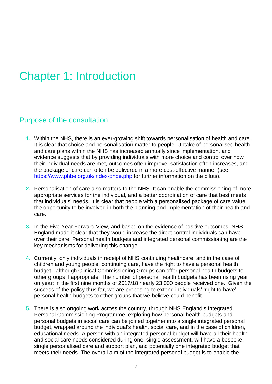## Chapter 1: Introduction

### Purpose of the consultation

- **1.** Within the NHS, there is an ever-growing shift towards personalisation of health and care. It is clear that choice and personalisation matter to people. Uptake of personalised health and care plans within the NHS has increased annually since implementation, and evidence suggests that by providing individuals with more choice and control over how their individual needs are met, outcomes often improve, satisfaction often increases, and the package of care can often be delivered in a more cost-effective manner (see <https://www.phbe.org.uk/index-phbe.php> for further information on the pilots).
- **2.** Personalisation of care also matters to the NHS. It can enable the commissioning of more appropriate services for the individual, and a better coordination of care that best meets that individuals' needs. It is clear that people with a personalised package of care value the opportunity to be involved in both the planning and implementation of their health and care.
- **3.** In the Five Year Forward View, and based on the evidence of positive outcomes, NHS England made it clear that they would increase the direct control individuals can have over their care. Personal health budgets and integrated personal commissioning are the key mechanisms for delivering this change.
- **4.** Currently, only individuals in receipt of NHS continuing healthcare, and in the case of children and young people, continuing care, have the right to have a personal health budget - although Clinical Commissioning Groups can offer personal health budgets to other groups if appropriate. The number of personal health budgets has been rising year on year; in the first nine months of 2017/18 nearly 23,000 people received one. Given the success of the policy thus far, we are proposing to extend individuals' 'right to have' personal health budgets to other groups that we believe could benefit.
- **5.** There is also ongoing work across the country, through NHS England's Integrated Personal Commissioning Programme, exploring how personal health budgets and personal budgets in social care can be joined together into a single integrated personal budget, wrapped around the individual's health, social care, and in the case of children, educational needs. A person with an integrated personal budget will have all their health and social care needs considered during one, single assessment, will have a bespoke, single personalised care and support plan, and potentially one integrated budget that meets their needs. The overall aim of the integrated personal budget is to enable the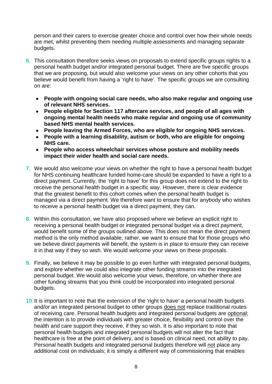person and their carers to exercise greater choice and control over how their whole needs are met, whilst preventing them needing multiple assessments and managing separate budgets.

- **6.** This consultation therefore seeks views on proposals to extend specific groups rights to a personal health budget and/or integrated personal budget. There are five specific groups that we are proposing, but would also welcome your views on any other cohorts that you believe would benefit from having a 'right to have'. The specific groups we are consulting on are:
	- **People with ongoing social care needs, who also make regular and ongoing use of relevant NHS services.**
	- **People eligible for Section 117 aftercare services, and people of all ages with ongoing mental health needs who make regular and ongoing use of community based NHS mental health services.**
	- **People leaving the Armed Forces, who are eligible for ongoing NHS services.**
	- **People with a learning disability, autism or both, who are eligible for ongoing NHS care.**
	- **People who access wheelchair services whose posture and mobility needs impact their wider health and social care needs.**
- **7.** We would also welcome your views on whether the right to have a personal health budget for NHS continuing healthcare funded home-care should be expanded to have a right to a direct payment. Currently, the 'right to have' for this group does not extend to the right to receive the personal health budget in a specific way. However, there is clear evidence that the greatest benefit to this cohort comes when the personal health budget is managed via a direct payment. We therefore want to ensure that for anybody who wishes to receive a personal health budget via a direct payment, they can.
- **8.** Within this consultation, we have also proposed where we believe an explicit right to receiving a personal health budget or integrated personal budget via a direct payment, would benefit some of the groups outlined above. This does not mean the direct payment method is the only method available; rather, we want to ensure that for those groups who we believe direct payments will benefit, the system is in place to ensure they can receive it in that way if they so wish. We would welcome your views on these proposals.
- **9.** Finally, we believe it may be possible to go even further with integrated personal budgets, and explore whether we could also integrate other funding streams into the integrated personal budget. We would also welcome your views, therefore, on whether there are other funding streams that you think could be incorporated into integrated personal budgets.
- **10.**It is important to note that the extension of the 'right to have' a personal health budgets and/or an integrated personal budget to other groups does not replace traditional routes of receiving care. Personal health budgets and integrated personal budgets are optional; the intention is to provide individuals with greater choice, flexibility and control over the health and care support they receive, if they so wish. It is also important to note that personal health budgets and integrated personal budgets will not alter the fact that healthcare is free at the point of delivery, and is based on clinical need, not ability to pay. Personal health budgets and integrated personal budgets therefore will not place any additional cost on individuals; it is simply a different way of commissioning that enables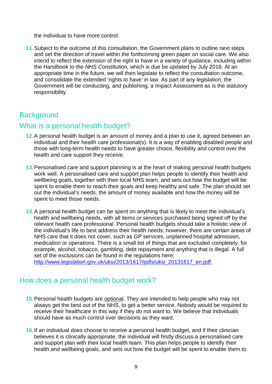the individual to have more control.

**11.**Subject to the outcome of this consultation, the Government plans to outline next steps and set the direction of travel within the forthcoming green paper on social care. We also intend to reflect the extension of the right to have in a variety of guidance, including within the *Handbook to the NHS Constitution,* which is due be updated by July 2018. At an appropriate time in the future, we will then legislate to reflect the consultation outcome, and consolidate the extended 'rights to have' in law. As part of any legislation, the Government will be conducting, and publishing, a Impact Assessment as is the statutory responsibility.

### **Background**

#### What is a personal health budget?

- **12.**A personal health budget is an amount of money and a plan to use it, agreed between an individual and their health care professional(s). It is a way of enabling disabled people and those with long-term health needs to have greater choice, flexibility and control over the health and care support they receive.
- **13.**Personalised care and support planning is at the heart of making personal health budgets work well. A personalised care and support plan helps people to identify their health and wellbeing goals, together with their local NHS team, and sets out how the budget will be spent to enable them to reach their goals and keep healthy and safe. The plan should set out the individual's needs, the amount of money available and how the money will be spent to meet those needs.
- **14.**A personal health budget can be spent on anything that is likely to meet the individual's health and wellbeing needs, with all items or services purchased being signed off by the relevant health care professional. Personal health budgets should take a holistic view of the individual's life to best address their health needs; however, there are certain areas of NHS care that it does not cover, such as GP services, unplanned hospital admission, medication or operations. There is a small list of things that are excluded completely; for example, alcohol, tobacco, gambling, debt repayment and anything that is illegal. A full set of the exclusions can be found in the regulations here; [http://www.legislation.gov.uk/uksi/2013/1617/pdfs/uksi\\_20131617\\_en.pdf.](http://www.legislation.gov.uk/uksi/2013/1617/pdfs/uksi_20131617_en.pdf)

## How does a personal health budget work?

- **15.**Personal health budgets are optional. They are intended to help people who may not always get the best out of the NHS, to get a better service. Nobody would be required to receive their healthcare in this way if they do not want to. We believe that individuals should have as much control over decisions as they want.
- **16.**If an individual does choose to receive a personal health budget, and if their clinician believes it is clinically appropriate, the individual will firstly discuss a personalised care and support plan with their local health team. This plan helps people to identify their health and wellbeing goals, and sets out how the budget will be spent to enable them to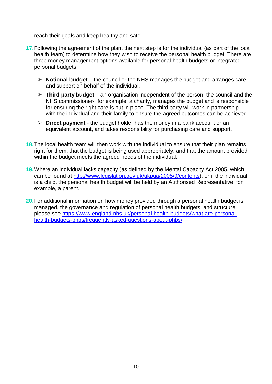reach their goals and keep healthy and safe.

- **17.**Following the agreement of the plan, the next step is for the individual (as part of the local health team) to determine how they wish to receive the personal health budget. There are three money management options available for personal health budgets or integrated personal budgets:
	- **Notional budget** the council or the NHS manages the budget and arranges care and support on behalf of the individual.
	- **Third party budget** an organisation independent of the person, the council and the NHS commissioner- for example, a charity, manages the budget and is responsible for ensuring the right care is put in place. The third party will work in partnership with the individual and their family to ensure the agreed outcomes can be achieved.
	- **Direct payment** the budget holder has the money in a bank account or an equivalent account, and takes responsibility for purchasing care and support.
- **18.**The local health team will then work with the individual to ensure that their plan remains right for them, that the budget is being used appropriately, and that the amount provided within the budget meets the agreed needs of the individual.
- **19.**Where an individual lacks capacity (as defined by the Mental Capacity Act 2005, which can be found at [http://www.legislation.gov.uk/ukpga/2005/9/contents\)](http://www.legislation.gov.uk/ukpga/2005/9/contents), or if the individual is a child, the personal health budget will be held by an Authorised Representative; for example, a parent.
- **20.**For additional information on how money provided through a personal health budget is managed, the governance and regulation of personal health budgets, and structure, please see [https://www.england.nhs.uk/personal-health-budgets/what-are-personal](https://www.england.nhs.uk/personal-health-budgets/what-are-personal-health-budgets-phbs/frequently-asked-questions-about-phbs/)[health-budgets-phbs/frequently-asked-questions-about-phbs/.](https://www.england.nhs.uk/personal-health-budgets/what-are-personal-health-budgets-phbs/frequently-asked-questions-about-phbs/)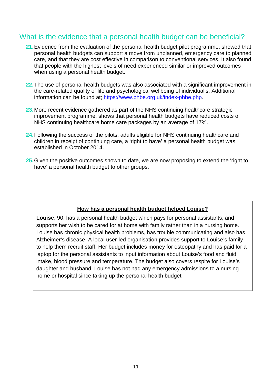### What is the evidence that a personal health budget can be beneficial?

- **21.**Evidence from the evaluation of the personal health budget pilot programme, showed that personal health budgets can support a move from unplanned, emergency care to planned care, and that they are cost effective in comparison to conventional services. It also found that people with the highest levels of need experienced similar or improved outcomes when using a personal health budget.
- **22.**The use of personal health budgets was also associated with a significant improvement in the care-related quality of life and psychological wellbeing of individual's. Additional information can be found at; [https://www.phbe.org.uk/index-phbe.php.](https://www.phbe.org.uk/index-phbe.php)
- **23.**More recent evidence gathered as part of the NHS continuing healthcare strategic improvement programme, shows that personal health budgets have reduced costs of NHS continuing healthcare home care packages by an average of 17%.
- **24.**Following the success of the pilots, adults eligible for NHS continuing healthcare and children in receipt of continuing care, a 'right to have' a personal health budget was established in October 2014.
- **25.**Given the positive outcomes shown to date, we are now proposing to extend the 'right to have' a personal health budget to other groups.

#### **How has a personal health budget helped Louise?**

**Louise**, 90, has a personal health budget which pays for personal assistants, and supports her wish to be cared for at home with family rather than in a nursing home. Louise has chronic physical health problems, has trouble communicating and also has Alzheimer's disease. A local user-led organisation provides support to Louise's family to help them recruit staff. Her budget includes money for osteopathy and has paid for a laptop for the personal assistants to input information about Louise's food and fluid intake, blood pressure and temperature. The budget also covers respite for Louise's daughter and husband. Louise has not had any emergency admissions to a nursing home or hospital since taking up the personal health budget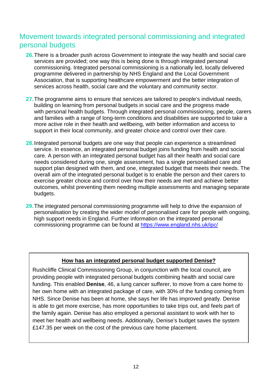### Movement towards integrated personal commissioning and integrated personal budgets

- **26.**There is a broader push across Government to integrate the way health and social care services are provided; one way this is being done is through integrated personal commissioning. Integrated personal commissioning is a nationally led, locally delivered programme delivered in partnership by NHS England and the Local Government Association, that is supporting healthcare empowerment and the better integration of services across health, social care and the voluntary and community sector.
- **27.**The programme aims to ensure that services are tailored to people's individual needs, building on learning from personal budgets in social care and the progress made with personal health budgets. Through integrated personal commissioning, people, carers and families with a range of long-term conditions and disabilities are supported to take a more active role in their health and wellbeing, with better information and access to support in their local community, and greater choice and control over their care.
- **28.**Integrated personal budgets are one way that people can experience a streamlined service. In essence, an integrated personal budget joins funding from health and social care. A person with an integrated personal budget has all their health and social care needs considered during one, single assessment, has a single personalised care and support plan designed with them, and one, integrated budget that meets their needs. The overall aim of the integrated personal budget is to enable the person and their carers to exercise greater choice and control over how their needs are met and achieve better outcomes, whilst preventing them needing multiple assessments and managing separate budgets.
- **29.**The integrated personal commissioning programme will help to drive the expansion of personalisation by creating the wider model of personalised care for people with ongoing, high support needs in England. Further information on the integrated personal commissioning programme can be found at <https://www.england.nhs.uk/ipc/>

#### **How has an integrated personal budget supported Denise?**

Rushcliffe Clinical Commissioning Group, in conjunction with the local council, are providing people with integrated personal budgets combining health and social care funding. This enabled **Denise**, 46, a lung cancer sufferer, to move from a care home to her own home with an integrated package of care, with 30% of the funding coming from NHS. Since Denise has been at home, she says her life has improved greatly. Denise is able to get more exercise, has more opportunities to take trips out, and feels part of the family again. Denise has also employed a personal assistant to work with her to meet her health and wellbeing needs. Additionally, Denise's budget saves the system £147.35 per week on the cost of the previous care home placement.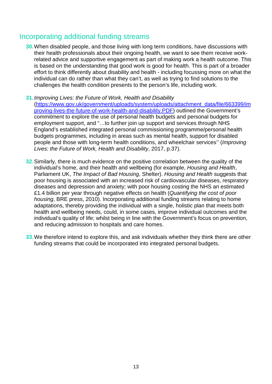### Incorporating additional funding streams

- **30.**When disabled people, and those living with long term conditions, have discussions with their health professionals about their ongoing health, we want to see them receive workrelated advice and supportive engagement as part of making work a health outcome. This is based on the understanding that good work is good for health. This is part of a broader effort to think differently about disability and health - including focussing more on what the individual can do rather than what they can't, as well as trying to find solutions to the challenges the health condition presents to the person's life, including work.
- **31.***Improving Lives: the Future of Work, Health and Disability* [\(https://www.gov.uk/government/uploads/system/uploads/attachment\\_data/file/663399/im](https://www.gov.uk/government/uploads/system/uploads/attachment_data/file/663399/improving-lives-the-future-of-work-health-and-disability.PDF) [proving-lives-the-future-of-work-health-and-disability.PDF\)](https://www.gov.uk/government/uploads/system/uploads/attachment_data/file/663399/improving-lives-the-future-of-work-health-and-disability.PDF) outlined the Government's commitment to explore the use of personal health budgets and personal budgets for employment support, and "…to further join up support and services through NHS England's established integrated personal commissioning programme/personal health budgets programmes, including in areas such as mental health, support for disabled people and those with long-term health conditions, and wheelchair services'' (*Improving Lives: the Future of Work, Health and Disability*, 2017, p.37).
- **32.**Similarly, there is much evidence on the positive correlation between the quality of the individual's home, and their health and wellbeing (for example, *Housing and Health*, Parliament UK, *The Impact of Bad Housing*, Shelter). *Housing and Health* suggests that poor housing is associated with an increased risk of cardiovascular diseases, respiratory diseases and depression and anxiety; with poor housing costing the NHS an estimated £1.4 billion per year through negative effects on health (*Quantifying the cost of poor housing*, BRE press, 2010). Incorporating additional funding streams relating to home adaptations, thereby providing the individual with a single, holistic plan that meets both health and wellbeing needs, could, in some cases, improve individual outcomes and the individual's quality of life; whilst being in line with the Government's focus on prevention, and reducing admission to hospitals and care homes.
- **33.**We therefore intend to explore this, and ask individuals whether they think there are other funding streams that could be incorporated into integrated personal budgets.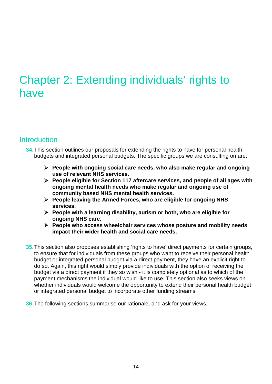## Chapter 2: Extending individuals' rights to have

### **Introduction**

- **34.**This section outlines our proposals for extending the rights to have for personal health budgets and integrated personal budgets. The specific groups we are consulting on are:
	- **People with ongoing social care needs, who also make regular and ongoing use of relevant NHS services.**
	- **People eligible for Section 117 aftercare services, and people of all ages with ongoing mental health needs who make regular and ongoing use of community based NHS mental health services.**
	- **People leaving the Armed Forces, who are eligible for ongoing NHS services.**
	- **People with a learning disability, autism or both, who are eligible for ongoing NHS care.**
	- **People who access wheelchair services whose posture and mobility needs impact their wider health and social care needs.**
- **35.**This section also proposes establishing 'rights to have' direct payments for certain groups, to ensure that for individuals from these groups who want to receive their personal health budget or integrated personal budget via a direct payment, they have an explicit right to do so. Again, this right would simply provide individuals with the option of receiving the budget via a direct payment if they so wish - it is completely optional as to which of the payment mechanisms the individual would like to use. This section also seeks views on whether individuals would welcome the opportunity to extend their personal health budget or integrated personal budget to incorporate other funding streams.
- **36.**The following sections summarise our rationale, and ask for your views.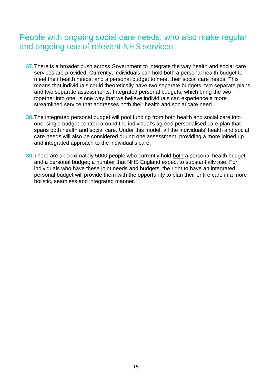## People with ongoing social care needs, who also make regular and ongoing use of relevant NHS services

- **37.**There is a broader push across Government to integrate the way health and social care services are provided. Currently, individuals can hold both a personal health budget to meet their health needs, and a personal budget to meet their social care needs. This means that individuals could theoretically have two separate budgets, two separate plans, and two separate assessments. Integrated personal budgets, which bring the two together into one, is one way that we believe individuals can experience a more streamlined service that addresses both their health and social care need.
- **38.**The integrated personal budget will pool funding from both health and social care into one, single budget centred around the individual's agreed personalised care plan that spans both health and social care. Under this model, all the individuals' health and social care needs will also be considered during one assessment, providing a more joined up and integrated approach to the individual's care.
- **39.**There are approximately 5000 people who currently hold both a personal health budget, and a personal budget; a number that NHS England expect to substantially rise. For individuals who have these joint needs and budgets, the right to have an integrated personal budget will provide them with the opportunity to plan their entire care in a more holistic, seamless and integrated manner.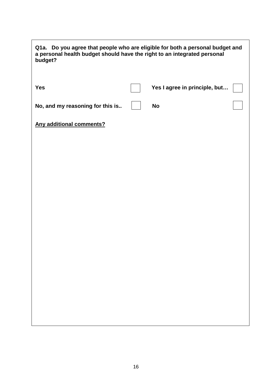| Q1a. Do you agree that people who are eligible for both a personal budget and<br>a personal health budget should have the right to an integrated personal<br>budget? |  |                               |  |
|----------------------------------------------------------------------------------------------------------------------------------------------------------------------|--|-------------------------------|--|
| <b>Yes</b>                                                                                                                                                           |  | Yes I agree in principle, but |  |
| No, and my reasoning for this is                                                                                                                                     |  | <b>No</b>                     |  |
| <b>Any additional comments?</b>                                                                                                                                      |  |                               |  |
|                                                                                                                                                                      |  |                               |  |
|                                                                                                                                                                      |  |                               |  |
|                                                                                                                                                                      |  |                               |  |
|                                                                                                                                                                      |  |                               |  |
|                                                                                                                                                                      |  |                               |  |
|                                                                                                                                                                      |  |                               |  |
|                                                                                                                                                                      |  |                               |  |
|                                                                                                                                                                      |  |                               |  |
|                                                                                                                                                                      |  |                               |  |
|                                                                                                                                                                      |  |                               |  |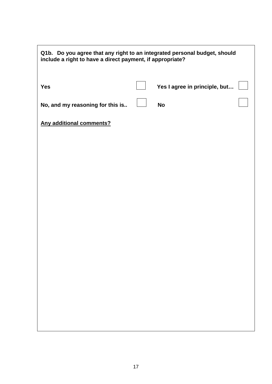| Q1b. Do you agree that any right to an integrated personal budget, should<br>include a right to have a direct payment, if appropriate? |  |                               |  |
|----------------------------------------------------------------------------------------------------------------------------------------|--|-------------------------------|--|
| <b>Yes</b>                                                                                                                             |  | Yes I agree in principle, but |  |
| No, and my reasoning for this is                                                                                                       |  | <b>No</b>                     |  |
| <b>Any additional comments?</b>                                                                                                        |  |                               |  |
|                                                                                                                                        |  |                               |  |
|                                                                                                                                        |  |                               |  |
|                                                                                                                                        |  |                               |  |
|                                                                                                                                        |  |                               |  |
|                                                                                                                                        |  |                               |  |
|                                                                                                                                        |  |                               |  |
|                                                                                                                                        |  |                               |  |
|                                                                                                                                        |  |                               |  |
|                                                                                                                                        |  |                               |  |
|                                                                                                                                        |  |                               |  |
|                                                                                                                                        |  |                               |  |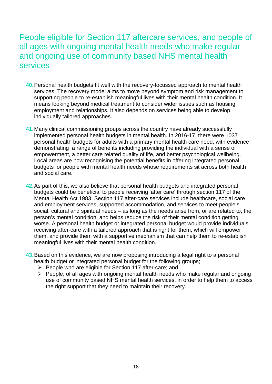## People eligible for Section 117 aftercare services, and people of all ages with ongoing mental health needs who make regular and ongoing use of community based NHS mental health services

- **40.**Personal health budgets fit well with the recovery-focussed approach to mental health services. The recovery model aims to move beyond symptom and risk management to supporting people to re-establish meaningful lives with their mental health condition. It means looking beyond medical treatment to consider wider issues such as housing, employment and relationships. It also depends on services being able to develop individually tailored approaches.
- **41.**Many clinical commissioning groups across the country have already successfully implemented personal health budgets in mental health. In 2016-17, there were 1037 personal health budgets for adults with a primary mental health care need, with evidence demonstrating a range of benefits including providing the individual with a sense of empowerment, a better care related quality of life, and better psychological wellbeing. Local areas are now recognising the potential benefits in offering integrated personal budgets for people with mental health needs whose requirements sit across both health and social care.
- **42.**As part of this, we also believe that personal health budgets and integrated personal budgets could be beneficial to people receiving 'after care' through section 117 of the Mental Health Act 1983. Section 117 after-care services include healthcare, social care and employment services, supported accommodation, and services to meet people's social, cultural and spiritual needs – as long as the needs arise from, or are related to, the person's mental condition, and helps reduce the risk of their mental condition getting worse. A personal health budget or integrated personal budget would provide individuals receiving after-care with a tailored approach that is right for them, which will empower them, and provide them with a supportive mechanism that can help them to re-establish meaningful lives with their mental health condition.
- **43.**Based on this evidence, we are now proposing introducing a legal right to a personal health budget or integrated personal budget for the following groups;
	- $\triangleright$  People who are eligible for Section 117 after-care; and
	- $\triangleright$  People, of all ages with ongoing mental health needs who make regular and ongoing use of community based NHS mental health services, in order to help them to access the right support that they need to maintain their recovery.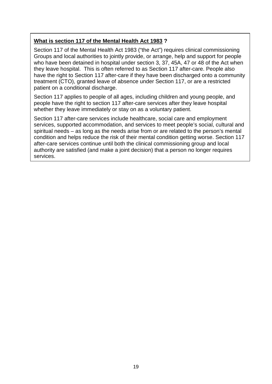#### **What is section 117 of the Mental Health Act 1983 ?**

Section 117 of the Mental Health Act 1983 ("the Act") requires clinical commissioning Groups and local authorities to jointly provide, or arrange, help and support for people who have been detained in hospital under section 3, 37, 45A, 47 or 48 of the Act when they leave hospital. This is often referred to as Section 117 after-care. People also have the right to Section 117 after-care if they have been discharged onto a community treatment (CTO), granted leave of absence under Section 117, or are a restricted patient on a conditional discharge.

Section 117 applies to people of all ages, including children and young people, and people have the right to section 117 after-care services after they leave hospital whether they leave immediately or stay on as a voluntary patient.

Section 117 after-care services include healthcare, social care and employment services, supported accommodation, and services to meet people's social, cultural and spiritual needs – as long as the needs arise from or are related to the person's mental condition and helps reduce the risk of their mental condition getting worse. Section 117 after-care services continue until both the clinical commissioning group and local authority are satisfied (and make a joint decision) that a person no longer requires services.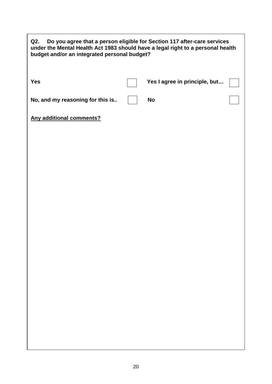| Do you agree that a person eligible for Section 117 after-care services<br>Q2.<br>under the Mental Health Act 1983 should have a legal right to a personal health<br>budget and/or an integrated personal budget? |  |                               |  |  |
|-------------------------------------------------------------------------------------------------------------------------------------------------------------------------------------------------------------------|--|-------------------------------|--|--|
| <b>Yes</b>                                                                                                                                                                                                        |  | Yes I agree in principle, but |  |  |
| No, and my reasoning for this is                                                                                                                                                                                  |  | <b>No</b>                     |  |  |
| <b>Any additional comments?</b>                                                                                                                                                                                   |  |                               |  |  |
|                                                                                                                                                                                                                   |  |                               |  |  |
|                                                                                                                                                                                                                   |  |                               |  |  |
|                                                                                                                                                                                                                   |  |                               |  |  |
|                                                                                                                                                                                                                   |  |                               |  |  |
|                                                                                                                                                                                                                   |  |                               |  |  |
|                                                                                                                                                                                                                   |  |                               |  |  |
|                                                                                                                                                                                                                   |  |                               |  |  |
|                                                                                                                                                                                                                   |  |                               |  |  |
|                                                                                                                                                                                                                   |  |                               |  |  |
|                                                                                                                                                                                                                   |  |                               |  |  |
|                                                                                                                                                                                                                   |  |                               |  |  |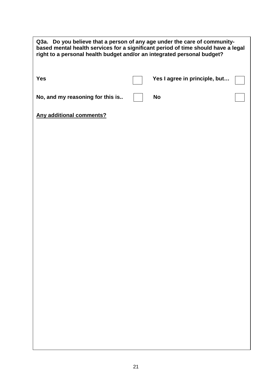| Q3a. Do you believe that a person of any age under the care of community-<br>based mental health services for a significant period of time should have a legal<br>right to a personal health budget and/or an integrated personal budget? |  |                               |  |
|-------------------------------------------------------------------------------------------------------------------------------------------------------------------------------------------------------------------------------------------|--|-------------------------------|--|
| <b>Yes</b>                                                                                                                                                                                                                                |  | Yes I agree in principle, but |  |
| No, and my reasoning for this is                                                                                                                                                                                                          |  | <b>No</b>                     |  |
| <b>Any additional comments?</b>                                                                                                                                                                                                           |  |                               |  |
|                                                                                                                                                                                                                                           |  |                               |  |
|                                                                                                                                                                                                                                           |  |                               |  |
|                                                                                                                                                                                                                                           |  |                               |  |
|                                                                                                                                                                                                                                           |  |                               |  |
|                                                                                                                                                                                                                                           |  |                               |  |
|                                                                                                                                                                                                                                           |  |                               |  |
|                                                                                                                                                                                                                                           |  |                               |  |
|                                                                                                                                                                                                                                           |  |                               |  |
|                                                                                                                                                                                                                                           |  |                               |  |
|                                                                                                                                                                                                                                           |  |                               |  |
|                                                                                                                                                                                                                                           |  |                               |  |
|                                                                                                                                                                                                                                           |  |                               |  |
|                                                                                                                                                                                                                                           |  |                               |  |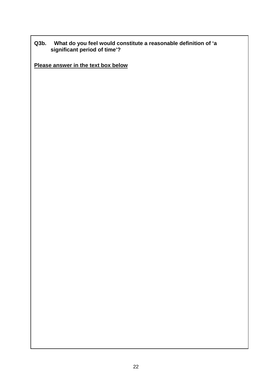#### **Q3b. What do you feel would constitute a reasonable definition of 'a significant period of time'?**

**Please answer in the text box below**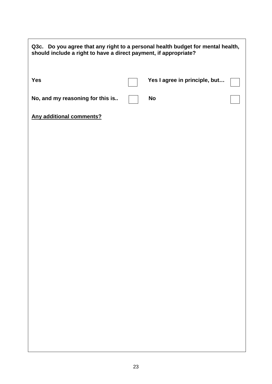| Q3c. Do you agree that any right to a personal health budget for mental health,<br>should include a right to have a direct payment, if appropriate? |  |                               |  |
|-----------------------------------------------------------------------------------------------------------------------------------------------------|--|-------------------------------|--|
| <b>Yes</b>                                                                                                                                          |  | Yes I agree in principle, but |  |
| No, and my reasoning for this is                                                                                                                    |  | <b>No</b>                     |  |
| <b>Any additional comments?</b>                                                                                                                     |  |                               |  |
|                                                                                                                                                     |  |                               |  |
|                                                                                                                                                     |  |                               |  |
|                                                                                                                                                     |  |                               |  |
|                                                                                                                                                     |  |                               |  |
|                                                                                                                                                     |  |                               |  |
|                                                                                                                                                     |  |                               |  |
|                                                                                                                                                     |  |                               |  |
|                                                                                                                                                     |  |                               |  |
|                                                                                                                                                     |  |                               |  |
|                                                                                                                                                     |  |                               |  |
|                                                                                                                                                     |  |                               |  |
|                                                                                                                                                     |  |                               |  |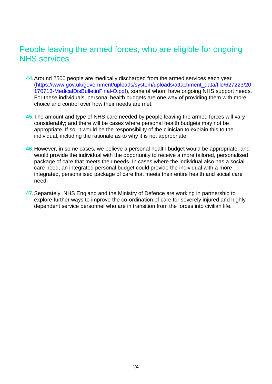## People leaving the armed forces, who are eligible for ongoing NHS services

- **44.**Around 2500 people are medically discharged from the armed services each year [\(https://www.gov.uk/government/uploads/system/uploads/attachment\\_data/file/627223/20](https://www.gov.uk/government/uploads/system/uploads/attachment_data/file/627223/20170713-MedicalDisBulletinFinal-O.pdf) [170713-MedicalDisBulletinFinal-O.pdf\)](https://www.gov.uk/government/uploads/system/uploads/attachment_data/file/627223/20170713-MedicalDisBulletinFinal-O.pdf), some of whom have ongoing NHS support needs. For these individuals, personal health budgets are one way of providing them with more choice and control over how their needs are met.
- **45.**The amount and type of NHS care needed by people leaving the armed forces will vary considerably; and there will be cases where personal health budgets may not be appropriate. If so, it would be the responsibility of the clinician to explain this to the individual, including the rationale as to why it is not appropriate.
- **46.**However, in some cases, we believe a personal health budget would be appropriate, and would provide the individual with the opportunity to receive a more tailored, personalised package of care that meets their needs. In cases where the individual also has a social care need, an integrated personal budget could provide the individual with a more integrated, personalised package of care that meets their entire health and social care need.
- **47.**Separately, NHS England and the Ministry of Defence are working in partnership to explore further ways to improve the co-ordination of care for severely injured and highly dependent service personnel who are in transition from the forces into civilian life.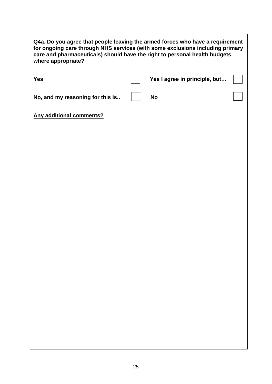| Q4a. Do you agree that people leaving the armed forces who have a requirement<br>for ongoing care through NHS services (with some exclusions including primary<br>care and pharmaceuticals) should have the right to personal health budgets<br>where appropriate? |  |                               |  |  |
|--------------------------------------------------------------------------------------------------------------------------------------------------------------------------------------------------------------------------------------------------------------------|--|-------------------------------|--|--|
| <b>Yes</b>                                                                                                                                                                                                                                                         |  | Yes I agree in principle, but |  |  |
| No, and my reasoning for this is                                                                                                                                                                                                                                   |  | <b>No</b>                     |  |  |
| <b>Any additional comments?</b>                                                                                                                                                                                                                                    |  |                               |  |  |
|                                                                                                                                                                                                                                                                    |  |                               |  |  |
|                                                                                                                                                                                                                                                                    |  |                               |  |  |
|                                                                                                                                                                                                                                                                    |  |                               |  |  |
|                                                                                                                                                                                                                                                                    |  |                               |  |  |
|                                                                                                                                                                                                                                                                    |  |                               |  |  |
|                                                                                                                                                                                                                                                                    |  |                               |  |  |
|                                                                                                                                                                                                                                                                    |  |                               |  |  |
|                                                                                                                                                                                                                                                                    |  |                               |  |  |
|                                                                                                                                                                                                                                                                    |  |                               |  |  |
|                                                                                                                                                                                                                                                                    |  |                               |  |  |
|                                                                                                                                                                                                                                                                    |  |                               |  |  |
|                                                                                                                                                                                                                                                                    |  |                               |  |  |

٦

f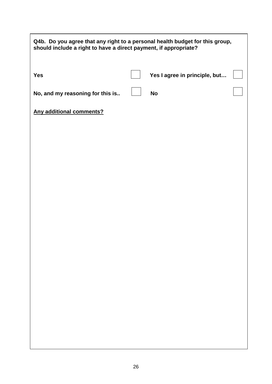| Q4b. Do you agree that any right to a personal health budget for this group,<br>should include a right to have a direct payment, if appropriate? |  |                               |  |
|--------------------------------------------------------------------------------------------------------------------------------------------------|--|-------------------------------|--|
| <b>Yes</b>                                                                                                                                       |  | Yes I agree in principle, but |  |
| No, and my reasoning for this is                                                                                                                 |  | <b>No</b>                     |  |
| <b>Any additional comments?</b>                                                                                                                  |  |                               |  |
|                                                                                                                                                  |  |                               |  |
|                                                                                                                                                  |  |                               |  |
|                                                                                                                                                  |  |                               |  |
|                                                                                                                                                  |  |                               |  |
|                                                                                                                                                  |  |                               |  |
|                                                                                                                                                  |  |                               |  |
|                                                                                                                                                  |  |                               |  |
|                                                                                                                                                  |  |                               |  |
|                                                                                                                                                  |  |                               |  |
|                                                                                                                                                  |  |                               |  |
|                                                                                                                                                  |  |                               |  |
|                                                                                                                                                  |  |                               |  |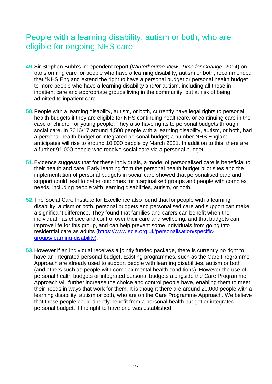## People with a learning disability, autism or both, who are eligible for ongoing NHS care

- **49.**Sir Stephen Bubb's independent report (*Winterbourne View- Time for Change,* 2014) on transforming care for people who have a learning disability, autism or both, recommended that "NHS England extend the right to have a personal budget or personal health budget to more people who have a learning disability and/or autism, including all those in inpatient care and appropriate groups living in the community, but at risk of being admitted to inpatient care".
- **50.**People with a learning disability, autism, or both, currently have legal rights to personal health budgets if they are eligible for NHS continuing healthcare, or continuing care in the case of children or young people. They also have rights to personal budgets through social care. In 2016/17 around 4,500 people with a learning disability, autism, or both, had a personal health budget or integrated personal budget; a number NHS England anticipates will rise to around 10,000 people by March 2021. In addition to this, there are a further 91,000 people who receive social care via a personal budget.
- **51.**Evidence suggests that for these individuals, a model of personalised care is beneficial to their health and care. Early learning from the personal health budget pilot sites and the implementation of personal budgets in social care showed that personalised care and support could lead to better outcomes for marginalised groups and people with complex needs, including people with learning disabilities, autism, or both.
- **52.**The Social Care Institute for Excellence also found that for people with a learning disability, autism or both, personal budgets and personalised care and support can make a significant difference. They found that families and carers can benefit when the individual has choice and control over their care and wellbeing, and that budgets can improve life for this group, and can help prevent some individuals from going into residential care as adults [\(https://www.scie.org.uk/personalisation/specific](https://www.scie.org.uk/personalisation/specific-groups/learning-disability)[groups/learning-disability\)](https://www.scie.org.uk/personalisation/specific-groups/learning-disability).
- **53.**However if an individual receives a jointly funded package, there is currently no right to have an integrated personal budget. Existing programmes, such as the Care Programme Approach are already used to support people with learning disabilities, autism or both (and others such as people with complex mental health conditions). However the use of personal health budgets or integrated personal budgets alongside the Care Programme Approach will further increase the choice and control people have, enabling them to meet their needs in ways that work for them. It is thought there are around 20,000 people with a learning disability, autism or both, who are on the Care Programme Approach. We believe that these people could directly benefit from a personal health budget or integrated personal budget, if the right to have one was established.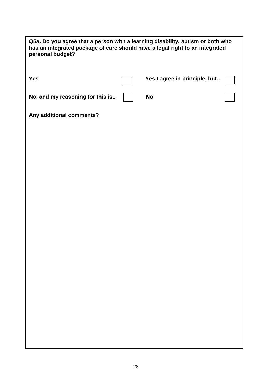| Q5a. Do you agree that a person with a learning disability, autism or both who<br>has an integrated package of care should have a legal right to an integrated<br>personal budget? |  |                               |  |
|------------------------------------------------------------------------------------------------------------------------------------------------------------------------------------|--|-------------------------------|--|
| <b>Yes</b>                                                                                                                                                                         |  | Yes I agree in principle, but |  |
| No, and my reasoning for this is                                                                                                                                                   |  | <b>No</b>                     |  |
| <b>Any additional comments?</b>                                                                                                                                                    |  |                               |  |
|                                                                                                                                                                                    |  |                               |  |
|                                                                                                                                                                                    |  |                               |  |
|                                                                                                                                                                                    |  |                               |  |
|                                                                                                                                                                                    |  |                               |  |
|                                                                                                                                                                                    |  |                               |  |
|                                                                                                                                                                                    |  |                               |  |
|                                                                                                                                                                                    |  |                               |  |
|                                                                                                                                                                                    |  |                               |  |
|                                                                                                                                                                                    |  |                               |  |
|                                                                                                                                                                                    |  |                               |  |
|                                                                                                                                                                                    |  |                               |  |
|                                                                                                                                                                                    |  |                               |  |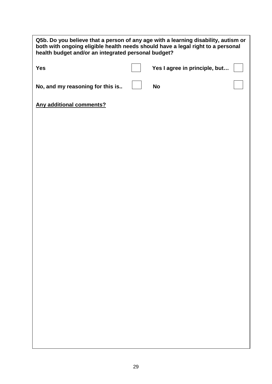| Q5b. Do you believe that a person of any age with a learning disability, autism or<br>both with ongoing eligible health needs should have a legal right to a personal<br>health budget and/or an integrated personal budget? |  |                               |  |
|------------------------------------------------------------------------------------------------------------------------------------------------------------------------------------------------------------------------------|--|-------------------------------|--|
| <b>Yes</b>                                                                                                                                                                                                                   |  | Yes I agree in principle, but |  |
| No, and my reasoning for this is                                                                                                                                                                                             |  | <b>No</b>                     |  |
| <b>Any additional comments?</b>                                                                                                                                                                                              |  |                               |  |
|                                                                                                                                                                                                                              |  |                               |  |
|                                                                                                                                                                                                                              |  |                               |  |
|                                                                                                                                                                                                                              |  |                               |  |
|                                                                                                                                                                                                                              |  |                               |  |
|                                                                                                                                                                                                                              |  |                               |  |
|                                                                                                                                                                                                                              |  |                               |  |
|                                                                                                                                                                                                                              |  |                               |  |
|                                                                                                                                                                                                                              |  |                               |  |
|                                                                                                                                                                                                                              |  |                               |  |
|                                                                                                                                                                                                                              |  |                               |  |
|                                                                                                                                                                                                                              |  |                               |  |
|                                                                                                                                                                                                                              |  |                               |  |
|                                                                                                                                                                                                                              |  |                               |  |
|                                                                                                                                                                                                                              |  |                               |  |
|                                                                                                                                                                                                                              |  |                               |  |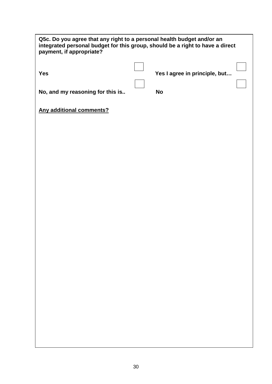| Q5c. Do you agree that any right to a personal health budget and/or an<br>integrated personal budget for this group, should be a right to have a direct<br>payment, if appropriate? |  |                               |  |  |
|-------------------------------------------------------------------------------------------------------------------------------------------------------------------------------------|--|-------------------------------|--|--|
| <b>Yes</b>                                                                                                                                                                          |  | Yes I agree in principle, but |  |  |
| No, and my reasoning for this is                                                                                                                                                    |  | <b>No</b>                     |  |  |
| <b>Any additional comments?</b>                                                                                                                                                     |  |                               |  |  |
|                                                                                                                                                                                     |  |                               |  |  |
|                                                                                                                                                                                     |  |                               |  |  |
|                                                                                                                                                                                     |  |                               |  |  |
|                                                                                                                                                                                     |  |                               |  |  |
|                                                                                                                                                                                     |  |                               |  |  |
|                                                                                                                                                                                     |  |                               |  |  |
|                                                                                                                                                                                     |  |                               |  |  |
|                                                                                                                                                                                     |  |                               |  |  |
|                                                                                                                                                                                     |  |                               |  |  |
|                                                                                                                                                                                     |  |                               |  |  |
|                                                                                                                                                                                     |  |                               |  |  |
|                                                                                                                                                                                     |  |                               |  |  |
|                                                                                                                                                                                     |  |                               |  |  |
|                                                                                                                                                                                     |  |                               |  |  |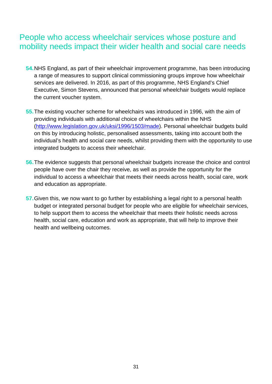## People who access wheelchair services whose posture and mobility needs impact their wider health and social care needs

- **54.**NHS England, as part of their wheelchair improvement programme, has been introducing a range of measures to support clinical commissioning groups improve how wheelchair services are delivered. In 2016, as part of this programme, NHS England's Chief Executive, Simon Stevens, announced that personal wheelchair budgets would replace the current voucher system.
- **55.**The existing voucher scheme for wheelchairs was introduced in 1996, with the aim of providing individuals with additional choice of wheelchairs within the NHS [\(http://www.legislation.gov.uk/uksi/1996/1503/made\)](http://www.legislation.gov.uk/uksi/1996/1503/made). Personal wheelchair budgets build on this by introducing holistic, personalised assessments, taking into account both the individual's health and social care needs, whilst providing them with the opportunity to use integrated budgets to access their wheelchair.
- **56.**The evidence suggests that personal wheelchair budgets increase the choice and control people have over the chair they receive, as well as provide the opportunity for the individual to access a wheelchair that meets their needs across health, social care, work and education as appropriate.
- **57.**Given this, we now want to go further by establishing a legal right to a personal health budget or integrated personal budget for people who are eligible for wheelchair services, to help support them to access the wheelchair that meets their holistic needs across health, social care, education and work as appropriate, that will help to improve their health and wellbeing outcomes.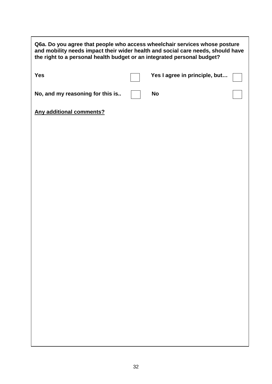| Q6a. Do you agree that people who access wheelchair services whose posture<br>and mobility needs impact their wider health and social care needs, should have<br>the right to a personal health budget or an integrated personal budget? |  |                               |  |
|------------------------------------------------------------------------------------------------------------------------------------------------------------------------------------------------------------------------------------------|--|-------------------------------|--|
| <b>Yes</b>                                                                                                                                                                                                                               |  | Yes I agree in principle, but |  |
| No, and my reasoning for this is                                                                                                                                                                                                         |  | <b>No</b>                     |  |
| <b>Any additional comments?</b>                                                                                                                                                                                                          |  |                               |  |
|                                                                                                                                                                                                                                          |  |                               |  |
|                                                                                                                                                                                                                                          |  |                               |  |
|                                                                                                                                                                                                                                          |  |                               |  |
|                                                                                                                                                                                                                                          |  |                               |  |
|                                                                                                                                                                                                                                          |  |                               |  |
|                                                                                                                                                                                                                                          |  |                               |  |
|                                                                                                                                                                                                                                          |  |                               |  |
|                                                                                                                                                                                                                                          |  |                               |  |
|                                                                                                                                                                                                                                          |  |                               |  |
|                                                                                                                                                                                                                                          |  |                               |  |
|                                                                                                                                                                                                                                          |  |                               |  |
|                                                                                                                                                                                                                                          |  |                               |  |

I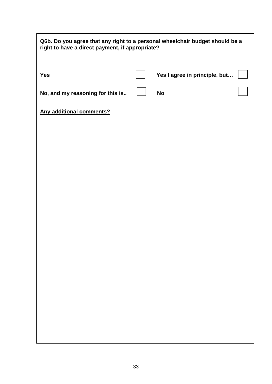| Q6b. Do you agree that any right to a personal wheelchair budget should be a<br>right to have a direct payment, if appropriate? |  |                               |  |  |
|---------------------------------------------------------------------------------------------------------------------------------|--|-------------------------------|--|--|
| <b>Yes</b>                                                                                                                      |  | Yes I agree in principle, but |  |  |
| No, and my reasoning for this is                                                                                                |  | <b>No</b>                     |  |  |
| <b>Any additional comments?</b>                                                                                                 |  |                               |  |  |
|                                                                                                                                 |  |                               |  |  |
|                                                                                                                                 |  |                               |  |  |
|                                                                                                                                 |  |                               |  |  |
|                                                                                                                                 |  |                               |  |  |
|                                                                                                                                 |  |                               |  |  |
|                                                                                                                                 |  |                               |  |  |
|                                                                                                                                 |  |                               |  |  |
|                                                                                                                                 |  |                               |  |  |
|                                                                                                                                 |  |                               |  |  |
|                                                                                                                                 |  |                               |  |  |
|                                                                                                                                 |  |                               |  |  |
|                                                                                                                                 |  |                               |  |  |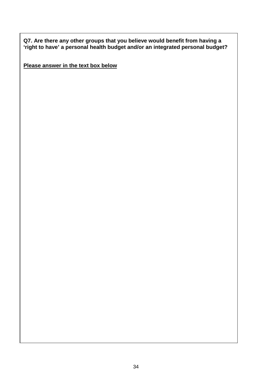**Q7. Are there any other groups that you believe would benefit from having a 'right to have' a personal health budget and/or an integrated personal budget?**

**Please answer in the text box below**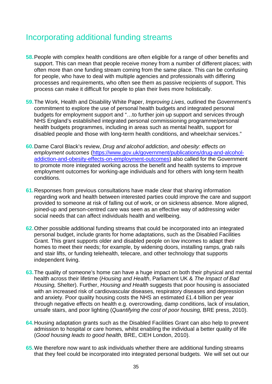## Incorporating additional funding streams

- **58.**People with complex health conditions are often eligible for a range of other benefits and support. This can mean that people receive money from a number of different places; with often more than one funding stream coming from the same place. This can be confusing for people, who have to deal with multiple agencies and professionals with differing processes and requirements, who often see them as passive recipients of support. This process can make it difficult for people to plan their lives more holistically.
- **59.**The Work, Health and Disability White Paper, *Improving Lives*, outlined the Government's commitment to explore the use of personal health budgets and integrated personal budgets for employment support and "…to further join up support and services through NHS England's established integrated personal commissioning programme/personal health budgets programmes, including in areas such as mental health, support for disabled people and those with long-term health conditions, and wheelchair services."
- **60.**Dame Carol Black's review, *Drug and alcohol addiction, and obesity: effects on employment outcomes* [\(https://www.gov.uk/government/publications/drug-and-alcohol](https://www.gov.uk/government/publications/drug-and-alcohol-addiction-and-obesity-effects-on-employment-outcomes)[addiction-and-obesity-effects-on-employment-outcomes\)](https://www.gov.uk/government/publications/drug-and-alcohol-addiction-and-obesity-effects-on-employment-outcomes) also called for the Government to promote more integrated working across the benefit and health systems to improve employment outcomes for working-age individuals and for others with long-term health conditions.
- **61.**Responses from previous consultations have made clear that sharing information regarding work and health between interested parties could improve the care and support provided to someone at risk of falling out of work, or on sickness absence. More aligned, joined-up and person-centred care was seen as an effective way of addressing wider social needs that can affect individuals health and wellbeing.
- **62.**Other possible additional funding streams that could be incorporated into an integrated personal budget, include grants for home adaptations, such as the Disabled Facilities Grant. This grant supports older and disabled people on low incomes to adapt their homes to meet their needs; for example, by widening doors, installing ramps, grab rails and stair lifts, or funding telehealth, telecare, and other technology that supports independent living.
- **63.**The quality of someone's home can have a huge impact on both their physical and mental health across their lifetime (*Housing and Health*, Parliament UK & *The Impact of Bad Housing,* Shelter). Further, *Housing and Health* suggests that poor housing is associated with an increased risk of cardiovascular diseases, respiratory diseases and depression and anxiety. Poor quality housing costs the NHS an estimated £1.4 billion per year through negative effects on health e.g. overcrowding, damp conditions, lack of insulation, unsafe stairs, and poor lighting (*Quantifying the cost of poor housing,* BRE press, 2010).
- **64.**Housing adaptation grants such as the Disabled Facilities Grant can also help to prevent admission to hospital or care homes, whilst enabling the individual a better quality of life (*Good housing leads to good health,* BRE, CIEH London, 2010).
- **65.**We therefore now want to ask individuals whether there are additional funding streams that they feel could be incorporated into integrated personal budgets. We will set out our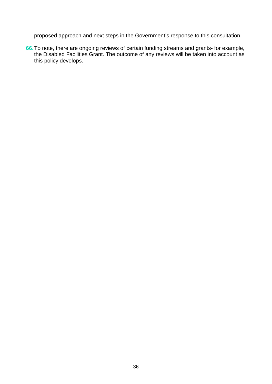proposed approach and next steps in the Government's response to this consultation.

**66.**To note, there are ongoing reviews of certain funding streams and grants- for example, the Disabled Facilities Grant. The outcome of any reviews will be taken into account as this policy develops.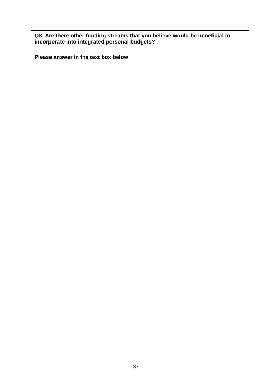**Q8. Are there other funding streams that you believe would be beneficial to incorporate into integrated personal budgets?**

**Please answer in the text box below**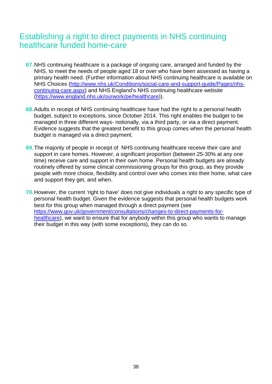## Establishing a right to direct payments in NHS continuing healthcare funded home-care

- **67.**NHS continuing healthcare is a package of ongoing care, arranged and funded by the NHS, to meet the needs of people aged 18 or over who have been assessed as having a primary health need. (Further information about NHS continuing healthcare is available on NHS Choices [\(http://www.nhs.uk/Conditions/social-care-and-support-guide/Pages/nhs](http://www.nhs.uk/Conditions/social-care-and-support-guide/Pages/nhs-continuing-care.aspx)[continuing-care.aspx\)](http://www.nhs.uk/Conditions/social-care-and-support-guide/Pages/nhs-continuing-care.aspx) and NHS England's NHS continuing healthcare website [\(https://www.england.nhs.uk/ourwork/pe/healthcare\)](https://www.england.nhs.uk/ourwork/pe/healthcare)).
- **68.**Adults in receipt of NHS continuing healthcare have had the right to a personal health budget, subject to exceptions, since October 2014. This right enables the budget to be managed in three different ways- notionally, via a third party, or via a direct payment. Evidence suggests that the greatest benefit to this group comes when the personal health budget is managed via a direct payment.
- **69.**The majority of people in receipt of NHS continuing healthcare receive their care and support in care homes. However, a significant proportion (between 25-30% at any one time) receive care and support in their own home. Personal health budgets are already routinely offered by some clinical commissioning groups for this group, as they provide people with more choice, flexibility and control over who comes into their home, what care and support they get, and when.
- **70.**However, the current 'right to have' does not give individuals a right to any specific type of personal health budget. Given the evidence suggests that personal health budgets work best for this group when managed through a direct payment (see [https://www.gov.uk/government/consultations/changes-to-direct-payments-for](https://www.gov.uk/government/consultations/changes-to-direct-payments-for-healthcare)[healthcare\)](https://www.gov.uk/government/consultations/changes-to-direct-payments-for-healthcare), we want to ensure that for anybody within this group who wants to manage their budget in this way (with some exceptions), they can do so.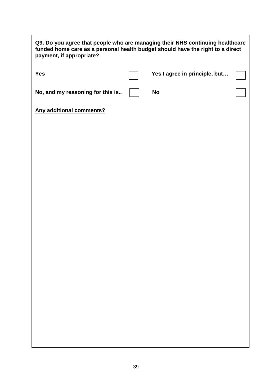| Q9. Do you agree that people who are managing their NHS continuing healthcare<br>funded home care as a personal health budget should have the right to a direct<br>payment, if appropriate? |  |                               |  |  |  |
|---------------------------------------------------------------------------------------------------------------------------------------------------------------------------------------------|--|-------------------------------|--|--|--|
| <b>Yes</b>                                                                                                                                                                                  |  | Yes I agree in principle, but |  |  |  |
| No, and my reasoning for this is                                                                                                                                                            |  | <b>No</b>                     |  |  |  |
| <b>Any additional comments?</b>                                                                                                                                                             |  |                               |  |  |  |
|                                                                                                                                                                                             |  |                               |  |  |  |
|                                                                                                                                                                                             |  |                               |  |  |  |
|                                                                                                                                                                                             |  |                               |  |  |  |
|                                                                                                                                                                                             |  |                               |  |  |  |
|                                                                                                                                                                                             |  |                               |  |  |  |
|                                                                                                                                                                                             |  |                               |  |  |  |
|                                                                                                                                                                                             |  |                               |  |  |  |
|                                                                                                                                                                                             |  |                               |  |  |  |
|                                                                                                                                                                                             |  |                               |  |  |  |
|                                                                                                                                                                                             |  |                               |  |  |  |
|                                                                                                                                                                                             |  |                               |  |  |  |
|                                                                                                                                                                                             |  |                               |  |  |  |
|                                                                                                                                                                                             |  |                               |  |  |  |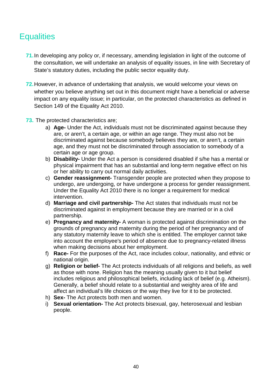## **Equalities**

- **71.**In developing any policy or, if necessary, amending legislation in light of the outcome of the consultation, we will undertake an analysis of equality issues, in line with Secretary of State's statutory duties, including the public sector equality duty.
- **72.**However, in advance of undertaking that analysis, we would welcome your views on whether you believe anything set out in this document might have a beneficial or adverse impact on any equality issue; in particular, on the protected characteristics as defined in Section 149 of the Equality Act 2010.
- **73.** The protected characteristics are;
	- a) **Age-** Under the Act, individuals must not be discriminated against because they are, or aren't, a certain age, or within an age range. They must also not be discriminated against because somebody believes they are, or aren't, a certain age, and they must not be discriminated through association to somebody of a certain age or age group.
	- b) **Disability-** Under the Act a person is considered disabled if s/he has a mental or physical impairment that has an substantial and long-term negative effect on his or her ability to carry out normal daily activities.
	- c) **Gender reassignment-** Transgender people are protected when they propose to undergo, are undergoing, or have undergone a process for gender reassignment. Under the Equality Act 2010 there is no longer a requirement for medical intervention.
	- d) **Marriage and civil partnership-** The Act states that individuals must not be discriminated against in employment because they are married or in a civil partnership.
	- e) **Pregnancy and maternity-** A woman is protected against discrimination on the grounds of pregnancy and maternity during the period of her pregnancy and of any statutory maternity leave to which she is entitled. The employer cannot take into account the employee's period of absence due to pregnancy-related illness when making decisions about her employment.
	- f) **Race-** For the purposes of the Act, race includes colour, nationality, and ethnic or national origin.
	- g) **Religion or belief-** The Act protects individuals of all religions and beliefs, as well as those with none. Religion has the meaning usually given to it but belief includes religious and philosophical beliefs, including lack of belief (e.g. Atheism). Generally, a belief should relate to a substantial and weighty area of life and affect an individual's life choices or the way they live for it to be protected.
	- h) **Sex-** The Act protects both men and women.
	- i) **Sexual orientation-** The Act protects bisexual, gay, heterosexual and lesbian people.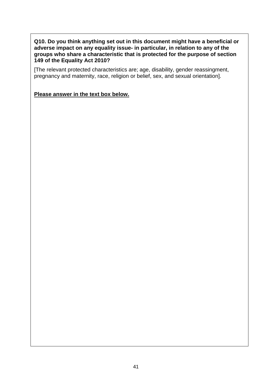#### **Q10. Do you think anything set out in this document might have a beneficial or adverse impact on any equality issue- in particular, in relation to any of the groups who share a characteristic that is protected for the purpose of section 149 of the Equality Act 2010?**

[The relevant protected characteristics are; age, disability, gender reassingment, pregnancy and maternity, race, religion or belief, sex, and sexual orientation].

**Please answer in the text box below.**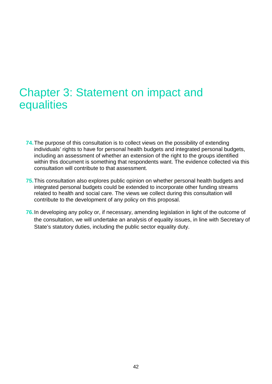## Chapter 3: Statement on impact and **equalities**

- **74.**The purpose of this consultation is to collect views on the possibility of extending individuals' rights to have for personal health budgets and integrated personal budgets, including an assessment of whether an extension of the right to the groups identified within this document is something that respondents want. The evidence collected via this consultation will contribute to that assessment.
- **75.**This consultation also explores public opinion on whether personal health budgets and integrated personal budgets could be extended to incorporate other funding streams related to health and social care. The views we collect during this consultation will contribute to the development of any policy on this proposal.
- **76.**In developing any policy or, if necessary, amending legislation in light of the outcome of the consultation, we will undertake an analysis of equality issues, in line with Secretary of State's statutory duties, including the public sector equality duty.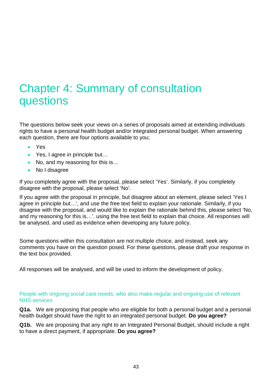## Chapter 4: Summary of consultation questions

The questions below seek your views on a series of proposals aimed at extending individuals rights to have a personal health budget and/or integrated personal budget. When answering each question, there are four options available to you;

- Yes
- Yes, I agree in principle but...
- No, and my reasoning for this is...
- No I disagree

If you completely agree with the proposal, please select 'Yes'. Similarly, if you completely disagree with the proposal, please select 'No'.

If you agree with the proposal in principle, but disagree about an element, please select 'Yes I agree in principle but…', and use the free text field to explain your rationale. Similarly, if you disagree with the proposal, and would like to explain the rationale behind this, please select 'No, and my reasoning for this is…'. using the free text field to explain that choice. All responses will be analysed, and used as evidence when developing any future policy.

Some questions within this consultation are not multiple choice, and instead, seek any comments you have on the question posed. For these questions, please draft your response in the text box provided.

All responses will be analysed, and will be used to inform the development of policy.

People with ongoing social care needs, who also make regular and ongoing use of relevant NHS services

**Q1a.** We are proposing that people who are eligible for both a personal budget and a personal health budget should have the right to an integrated personal budget. **Do you agree?**

**Q1b.** We are proposing that any right to an Integrated Personal Budget, should include a right to have a direct payment, if appropriate. **Do you agree?**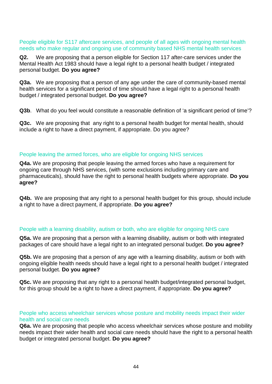#### People eligible for S117 aftercare services, and people of all ages with ongoing mental health needs who make regular and ongoing use of community based NHS mental health services

**Q2.** We are proposing that a person eligible for Section 117 after-care services under the Mental Health Act 1983 should have a legal right to a personal health budget / integrated personal budget. **Do you agree?**

**Q3a.** We are proposing that a person of any age under the care of community-based mental health services for a significant period of time should have a legal right to a personal health budget / integrated personal budget. **Do you agree?**

**Q3b**. What do you feel would constitute a reasonable definition of 'a significant period of time'?

**Q3c.** We are proposing that any right to a personal health budget for mental health, should include a right to have a direct payment, if appropriate. Do you agree?

#### People leaving the armed forces, who are eligible for ongoing NHS services

**Q4a.** We are proposing that people leaving the armed forces who have a requirement for ongoing care through NHS services, (with some exclusions including primary care and pharmaceuticals), should have the right to personal health budgets where appropriate. **Do you agree?**

**Q4b.** We are proposing that any right to a personal health budget for this group, should include a right to have a direct payment, if appropriate. **Do you agree?**

#### People with a learning disability, autism or both, who are eligible for ongoing NHS care

**Q5a.** We are proposing that a person with a learning disability, autism or both with integrated packages of care should have a legal right to an integrated personal budget. **Do you agree?**

**Q5b.** We are proposing that a person of any age with a learning disability, autism or both with ongoing eligible health needs should have a legal right to a personal health budget / integrated personal budget. **Do you agree?**

**Q5c.** We are proposing that any right to a personal health budget/integrated personal budget, for this group should be a right to have a direct payment, if appropriate. **Do you agree?**

People who access wheelchair services whose posture and mobility needs impact their wider health and social care needs

**Q6a.** We are proposing that people who access wheelchair services whose posture and mobility needs impact their wider health and social care needs should have the right to a personal health budget or integrated personal budget. **Do you agree?**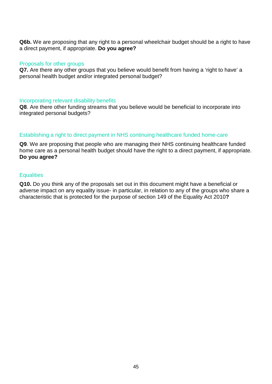**Q6b.** We are proposing that any right to a personal wheelchair budget should be a right to have a direct payment, if appropriate. **Do you agree?**

#### Proposals for other groups

**Q7.** Are there any other groups that you believe would benefit from having a 'right to have' a personal health budget and/or integrated personal budget?

#### Incorporating relevant disability benefits

**Q8**. Are there other funding streams that you believe would be beneficial to incorporate into integrated personal budgets?

#### Establishing a right to direct payment in NHS continuing healthcare funded home-care

**Q9**. We are proposing that people who are managing their NHS continuing healthcare funded home care as a personal health budget should have the right to a direct payment, if appropriate. **Do you agree?**

#### **Equalities**

**Q10.** Do you think any of the proposals set out in this document might have a beneficial or adverse impact on any equality issue- in particular, in relation to any of the groups who share a characteristic that is protected for the purpose of section 149 of the Equality Act 2010**?**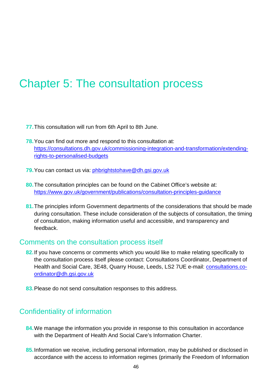## Chapter 5: The consultation process

- **77.**This consultation will run from 6th April to 8th June.
- **78.**You can find out more and respond to this consultation at: [https://consultations.dh.gov.uk/commissioning-integration-and-transformation/extending](https://consultations.dh.gov.uk/commissioning-integration-and-transformation/extending-rights-to-personalised-budgets)[rights-to-personalised-budgets](https://consultations.dh.gov.uk/commissioning-integration-and-transformation/extending-rights-to-personalised-budgets)
- **79.**You can contact us via: [phbrightstohave@dh.gsi.gov.uk](mailto:phbrightstohave@dh.gsi.gov.uk)
- **80.**The consultation principles can be found on the Cabinet Office's website at: <https://www.gov.uk/government/publications/consultation-principles-guidance>
- **81.**The principles inform Government departments of the considerations that should be made during consultation. These include consideration of the subjects of consultation, the timing of consultation, making information useful and accessible, and transparency and feedback.

#### Comments on the consultation process itself

- **82.**If you have concerns or comments which you would like to make relating specifically to the consultation process itself please contact: Consultations Coordinator, Department of Health and Social Care, 3E48, Quarry House, Leeds, LS2 7UE e-mail: [consultations.co](mailto:consultations.co-ordinator@dh.gsi.gov.uk)[ordinator@dh.gsi.gov.uk](mailto:consultations.co-ordinator@dh.gsi.gov.uk)
- **83.**Please do not send consultation responses to this address.

### Confidentiality of information

- **84.**We manage the information you provide in response to this consultation in accordance with the Department of Health And Social Care's Information Charter.
- **85.**Information we receive, including personal information, may be published or disclosed in accordance with the access to information regimes (primarily the Freedom of Information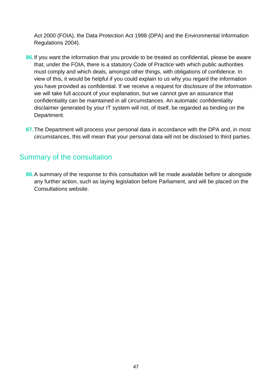Act 2000 (FOIA), the Data Protection Act 1998 (DPA) and the Environmental Information Regulations 2004).

- **86.**If you want the information that you provide to be treated as confidential, please be aware that, under the FOIA, there is a statutory Code of Practice with which public authorities must comply and which deals, amongst other things, with obligations of confidence. In view of this, it would be helpful if you could explain to us why you regard the information you have provided as confidential. If we receive a request for disclosure of the information we will take full account of your explanation, but we cannot give an assurance that confidentiality can be maintained in all circumstances. An automatic confidentiality disclaimer generated by your IT system will not, of itself, be regarded as binding on the Department.
- **87.**The Department will process your personal data in accordance with the DPA and, in most circumstances, this will mean that your personal data will not be disclosed to third parties.

### Summary of the consultation

**88.**A summary of the response to this consultation will be made available before or alongside any further action, such as laying legislation before Parliament, and will be placed on the Consultations website.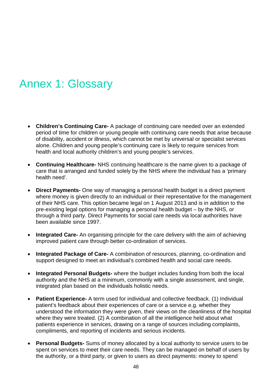## Annex 1: Glossary

- **Children's Continuing Care-** A package of continuing care needed over an extended period of time for children or young people with continuing care needs that arise because of disability, accident or illness, which cannot be met by universal or specialist services alone. Children and young people's continuing care is likely to require services from health and local authority children's and young people's services.
- **Continuing Healthcare-** NHS continuing healthcare is the name given to a package of care that is arranged and funded solely by the NHS where the individual has a 'primary health need'.
- **Direct Payments-** One way of managing a personal health budget is a direct payment where money is given directly to an individual or their representative for the management of their NHS care. This option became legal on 1 August 2013 and is in addition to the pre-existing legal options for managing a personal health budget – by the NHS, or through a third party. Direct Payments for social care needs via local authorities have been available since 1997.
- **Integrated Care-** An organising principle for the care delivery with the aim of achieving improved patient care through better co-ordination of services.
- **Integrated Package of Care-** A combination of resources, planning, co-ordination and support designed to meet an individual's combined health and social care needs.
- **Integrated Personal Budgets-** where the budget includes funding from both the local authority and the NHS at a minimum, commonly with a single assessment, and single, integrated plan based on the individuals holistic needs.
- **Patient Experience-** A term used for individual and collective feedback. (1) Individual patient's feedback about their experiences of care or a service e.g. whether they understood the information they were given, their views on the cleanliness of the hospital where they were treated. (2) A combination of all the intelligence held about what patients experience in services, drawing on a range of sources including complaints, compliments, and reporting of incidents and serious incidents.
- **Personal Budgets-** Sums of money allocated by a local authority to service users to be spent on services to meet their care needs. They can be managed on behalf of users by the authority, or a third party, or given to users as direct payments: money to spend